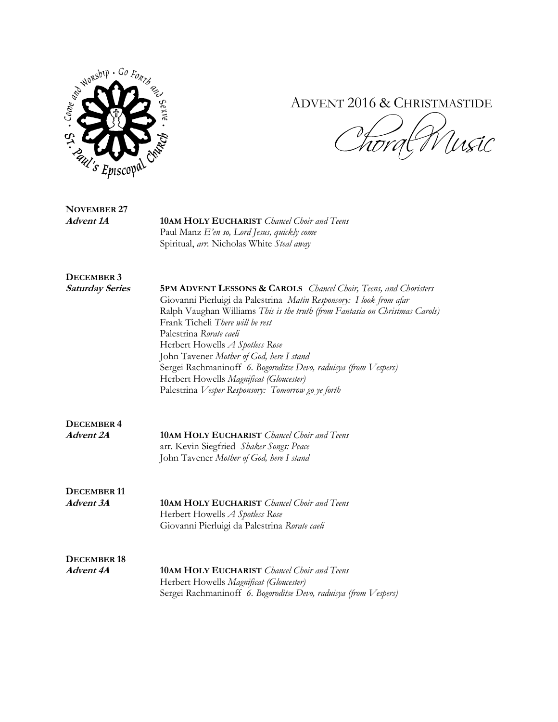

## ADVENT 2016 & CHRISTMASTIDE

Winsic  $\frac{1}{4}$ 

| <b>NOVEMBER 27</b> |                                                    |
|--------------------|----------------------------------------------------|
| Advent 1A          | <b>10AM HOLY EUCHARIST</b> Chancel Choir and Teens |
|                    | Paul Manz $E'$ en so, Lord Jesus, quickly come     |
|                    | Spiritual, arr. Nicholas White Steal away          |

**DECEMBER 3**

**Saturday Series 5PM ADVENT LESSONS & CAROLS** *Chancel Choir, Teens, and Choristers* Giovanni Pierluigi da Palestrina *Matin Responsory: I look from afar*  Ralph Vaughan Williams *This is the truth (from Fantasia on Christmas Carols)* Frank Ticheli *There will be rest* Palestrina *Rorate caeli* Herbert Howells *A Spotless Rose* John Tavener *Mother of God, here I stand* Sergei Rachmaninoff *6. Bogoroditse Devo, raduisya (from Vespers)* Herbert Howells *Magnificat (Gloucester)* Palestrina *Vesper Responsory: Tomorrow go ye forth*

| DECEMBER 4 |                                                           |
|------------|-----------------------------------------------------------|
| Advent 2A  | <b>10AM HOLY EUCHARIST</b> <i>Chancel Choir and Teens</i> |
|            | arr. Kevin Siegfried Shaker Songs: Peace                  |
|            | John Tavener Mother of God, here I stand                  |

DECEMBER 11<br>*Advent 3A* **Advent 3A 10AM HOLY EUCHARIST** *Chancel Choir and Teens* Herbert Howells *A Spotless Rose* Giovanni Pierluigi da Palestrina *Rorate caeli*

**DECEMBER 18 Advent 4A 10AM HOLY EUCHARIST** *Chancel Choir and Teens* Herbert Howells *Magnificat (Gloucester)* Sergei Rachmaninoff *6. Bogoroditse Devo, raduisya (from Vespers)*